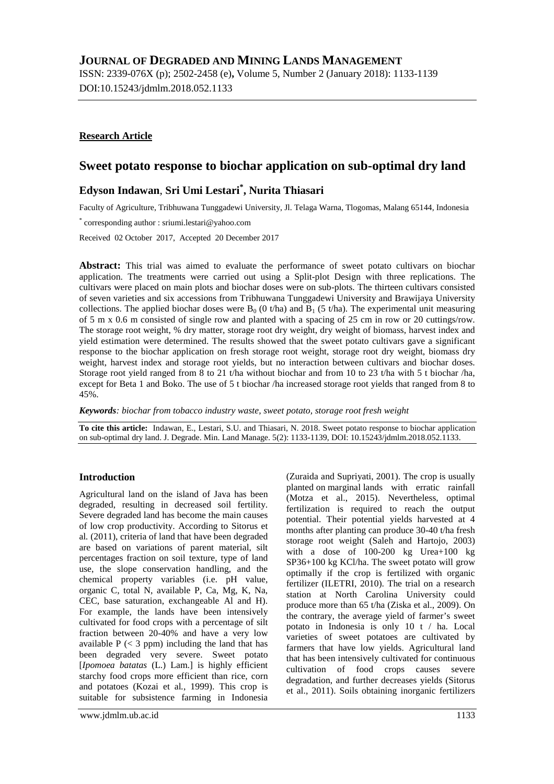# **JOURNAL OF DEGRADED AND MINING LANDS MANAGEMENT**

ISSN: 2339-076X (p); 2502-2458 (e)**,** Volume 5, Number 2 (January 2018): 1133-1139 DOI:10.15243/jdmlm.2018.052.1133

## **Research Article**

# **Sweet potato response to biochar application on sub-optimal dry land**

# **Edyson Indawan**, **Sri Umi Lestari\* , Nurita Thiasari**

Faculty of Agriculture, Tribhuwana Tunggadewi University, Jl. Telaga Warna, Tlogomas, Malang 65144, Indonesia

\* corresponding author : sriumi.lestari@yahoo.com

Received 02 October 2017, Accepted 20 December 2017

**Abstract:** This trial was aimed to evaluate the performance of sweet potato cultivars on biochar application. The treatments were carried out using a Split-plot Design with three replications. The cultivars were placed on main plots and biochar doses were on sub-plots. The thirteen cultivars consisted of seven varieties and six accessions from Tribhuwana Tunggadewi University and Brawijaya University collections. The applied biochar doses were  $B_0$  (0 t/ha) and  $B_1$  (5 t/ha). The experimental unit measuring of 5 m x 0.6 m consisted of single row and planted with a spacing of 25 cm in row or 20 cuttings/row. The storage root weight, % dry matter, storage root dry weight, dry weight of biomass, harvest index and yield estimation were determined. The results showed that the sweet potato cultivars gave a significant response to the biochar application on fresh storage root weight, storage root dry weight, biomass dry weight, harvest index and storage root yields, but no interaction between cultivars and biochar doses. Storage root yield ranged from 8 to 21 t/ha without biochar and from 10 to 23 t/ha with 5 t biochar /ha, except for Beta 1 and Boko. The use of 5 t biochar /ha increased storage root yields that ranged from 8 to 45%.

*Keywords: biochar from tobacco industry waste, sweet potato, storage root fresh weight*

**To cite this article:** Indawan, E., Lestari, S.U. and Thiasari, N. 2018. Sweet potato response to biochar application on sub-optimal dry land. J. Degrade. Min. Land Manage. 5(2): 1133-1139, DOI: 10.15243/jdmlm.2018.052.1133.

## **Introduction**

Agricultural land on the island of Java has been degraded, resulting in decreased soil fertility. Severe degraded land has become the main causes of low crop productivity. According to Sitorus et al*.* (2011), criteria of land that have been degraded are based on variations of parent material, silt percentages fraction on soil texture, type of land use, the slope conservation handling, and the chemical property variables (i.e. pH value, organic C, total N, available P, Ca, Mg, K, Na, CEC, base saturation, exchangeable Al and H). For example, the lands have been intensively cultivated for food crops with a percentage of silt fraction between 20-40% and have a very low available  $P \leq 3$  ppm) including the land that has been degraded very severe. Sweet potato [*Ipomoea batatas* (L.) Lam.] is highly efficient starchy food crops more efficient than rice, corn and potatoes (Kozai et al*.*, 1999). This crop is suitable for subsistence farming in Indonesia

(Zuraida and Supriyati, 2001). The crop is usually planted on marginal lands with erratic rainfall (Motza et al., 2015). Nevertheless, optimal fertilization is required to reach the output potential. Their potential yields harvested at 4 months after planting can produce 30-40 t/ha fresh storage root weight (Saleh and Hartojo, 2003) with a dose of 100-200 kg Urea+100 kg SP36+100 kg KCl/ha. The sweet potato will grow optimally if the crop is fertilized with organic fertilizer (ILETRI, 2010). The trial on a research station at North Carolina University could produce more than 65 t/ha (Ziska et al., 2009). On the contrary, the average yield of farmer's sweet potato in Indonesia is only 10 t / ha. Local varieties of sweet potatoes are cultivated by farmers that have low vields. Agricultural land that has been intensively cultivated for continuous cultivation of food crops causes severe degradation, and further decreases yields (Sitorus et al., 2011). Soils obtaining inorganic fertilizers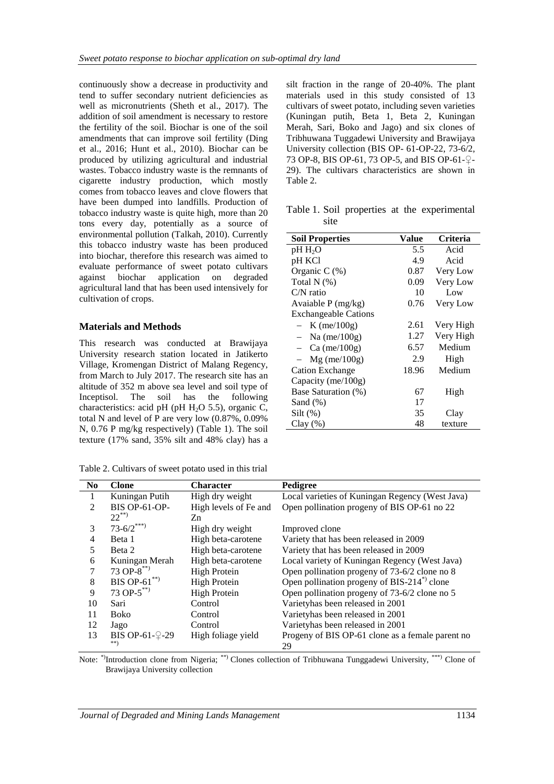continuously show a decrease in productivity and tend to suffer secondary nutrient deficiencies as well as micronutrients (Sheth et al., 2017). The addition of soil amendment is necessary to restore the fertility of the soil. Biochar is one of the soil amendments that can improve soil fertility (Ding et al., 2016; Hunt et al., 2010). Biochar can be produced by utilizing agricultural and industrial wastes. Tobacco industry waste is the remnants of cigarette industry production, which mostly comes from tobacco leaves and clove flowers that have been dumped into landfills. Production of tobacco industry waste is quite high, more than 20 tons every day, potentially as a source of environmental pollution (Talkah, 2010). Currently this tobacco industry waste has been produced into biochar, therefore this research was aimed to evaluate performance of sweet potato cultivars against biochar application on degraded agricultural land that has been used intensively for cultivation of crops.

### **Materials and Methods**

This research was conducted at Brawijaya University research station located in Jatikerto Village, Kromengan District of Malang Regency, from March to July 2017. The research site has an altitude of 352 m above sea level and soil type of Inceptisol. The soil has the following characteristics: acid pH (pH  $H_2O$  5.5), organic C, total N and level of P are very low (0.87%, 0.09% N, 0.76 P mg/kg respectively) (Table 1). The soil texture (17% sand, 35% silt and 48% clay) has a

Table 2. Cultivars of sweet potato used in this trial

silt fraction in the range of 20-40%. The plant materials used in this study consisted of 13 cultivars of sweet potato, including seven varieties (Kuningan putih, Beta 1, Beta 2, Kuningan Merah, Sari, Boko and Jago) and six clones of Tribhuwana Tuggadewi University and Brawijaya University collection (BIS OP- 61-OP-22, 73-6/2, 73 OP-8, BIS OP-61, 73 OP-5, and BIS OP-61-♀- 29). The cultivars characteristics are shown in Table 2.

Table 1. Soil properties at the experimental site

| <b>Soil Properties</b>      | Value | Criteria  |
|-----------------------------|-------|-----------|
| $pH H_2O$                   | 5.5   | Acid      |
| pH KCl                      | 4.9   | Acid      |
| Organic C $(\%)$            | 0.87  | Very Low  |
| Total $N$ $(\%)$            | 0.09  | Very Low  |
| $C/N$ ratio                 | 10    | Low       |
| Avaiable P (mg/kg)          | 0.76  | Very Low  |
| <b>Exchangeable Cations</b> |       |           |
| $- K$ (me/100g)             | 2.61  | Very High |
| $-$ Na (me/100g)            | 1.27  | Very High |
| $-$ Ca (me/100g)            | 6.57  | Medium    |
| $-$ Mg (me/100g)            | 2.9   | High      |
| <b>Cation Exchange</b>      | 18.96 | Medium    |
| Capacity (me/ $100g$ )      |       |           |
| Base Saturation (%)         | 67    | High      |
| Sand $(\%)$                 | 17    |           |
| $Silt \, (\% )$             | 35    | Clay      |
| $Clay(\%)$                  | 48    | texture   |

| N <sub>0</sub> | <b>Clone</b>          | <b>Character</b>      | Pedigree                                                            |
|----------------|-----------------------|-----------------------|---------------------------------------------------------------------|
|                | Kuningan Putih        | High dry weight       | Local varieties of Kuningan Regency (West Java)                     |
| 2              | <b>BIS OP-61-OP-</b>  | High levels of Fe and | Open pollination progeny of BIS OP-61 no 22                         |
|                | $22^{**}$             | Zn                    |                                                                     |
| 3              | $73 - 6/2$ ***)       | High dry weight       | Improved clone                                                      |
| 4              | Beta 1                | High beta-carotene    | Variety that has been released in 2009                              |
| 5              | Beta 2                | High beta-carotene    | Variety that has been released in 2009                              |
| 6              | Kuningan Merah        | High beta-carotene    | Local variety of Kuningan Regency (West Java)                       |
| 7              | 73 OP- $8^{**}$       | <b>High Protein</b>   | Open pollination progeny of 73-6/2 clone no 8                       |
| 8              | BIS OP-61 $**$        | <b>High Protein</b>   | Open pollination progeny of BIS-214 <sup><math>*</math></sup> clone |
| 9              | 73 OP- $5^{**}$       | <b>High Protein</b>   | Open pollination progeny of 73-6/2 clone no 5                       |
| 10             | Sari                  | Control               | Varietyhas been released in 2001                                    |
| 11             | <b>Boko</b>           | Control               | Varietyhas been released in 2001                                    |
| 12             | Jago                  | Control               | Variety has been released in 2001                                   |
| 13             | BIS OP-61-9-29<br>**) | High foliage yield    | Progeny of BIS OP-61 clone as a female parent no<br>29              |

Note: \*)Introduction clone from Nigeria; \*\*\*) Clones collection of Tribhuwana Tunggadewi University, \*\*\*) Clone of Brawijaya University collection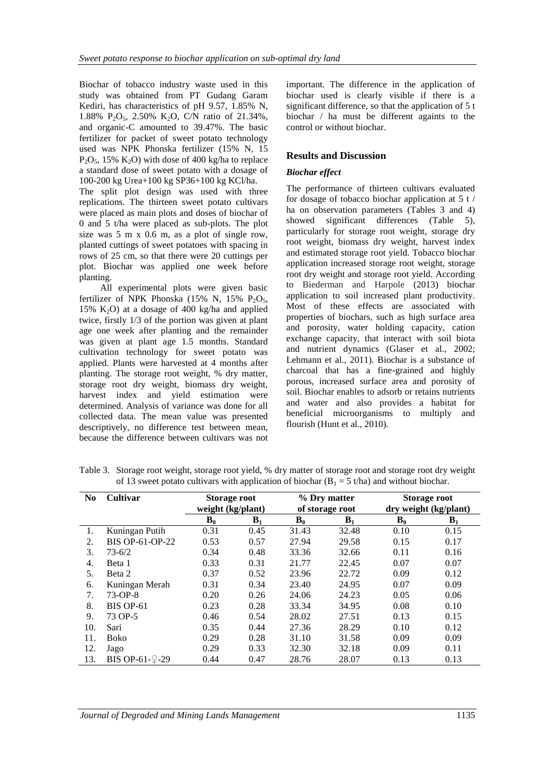Biochar of tobacco industry waste used in this study was obtained from PT Gudang Garam Kediri, has characteristics of pH 9.57, 1.85% N, 1.88% P<sub>2</sub>O<sub>5</sub>, 2.50% K<sub>2</sub>O, C/N ratio of 21.34%, and organic-C amounted to 39.47%. The basic fertilizer for packet of sweet potato technology used was NPK Phonska fertilizer (15% N, 15  $P_2O_5$ , 15% K<sub>2</sub>O) with dose of 400 kg/ha to replace a standard dose of sweet potato with a dosage of 100-200 kg Urea+100 kg SP36+100 kg KCl/ha.

The split plot design was used with three replications. The thirteen sweet potato cultivars were placed as main plots and doses of biochar of 0 and 5 t/ha were placed as sub-plots. The plot size was 5 m x 0.6 m, as a plot of single row, planted cuttings of sweet potatoes with spacing in rows of 25 cm, so that there were 20 cuttings per plot. Biochar was applied one week before planting.

All experimental plots were given basic fertilizer of NPK Phonska (15% N, 15% P<sub>2</sub>O<sub>5</sub>, 15% K<sub>2</sub>O) at a dosage of 400 kg/ha and applied twice, firstly 1/3 of the portion was given at plant age one week after planting and the remainder was given at plant age 1.5 months. Standard cultivation technology for sweet potato was applied. Plants were harvested at 4 months after planting. The storage root weight, % dry matter, storage root dry weight, biomass dry weight, harvest index and yield estimation were determined. Analysis of variance was done for all collected data. The mean value was presented descriptively, no difference test between mean, because the difference between cultivars was not

important. The difference in the application of biochar used is clearly visible if there is a significant difference, so that the application of 5 t biochar / ha must be different againts to the control or without biochar.

### **Results and Discussion**

#### *Biochar effect*

The performance of thirteen cultivars evaluated for dosage of tobacco biochar application at 5 t / ha on observation parameters (Tables 3 and 4) showed significant differences (Table 5), particularly for storage root weight, storage dry root weight, biomass dry weight, harvest index and estimated storage root yield. Tobacco biochar application increased storage root weight, storage root dry weight and storage root yield. According to Biederman and Harpole (2013) biochar application to soil increased plant productivity. Most of these effects are associated with properties of biochars, such as high surface area and porosity, water holding capacity, cation exchange capacity, that interact with soil biota and nutrient dynamics (Glaser et al., 2002; Lehmann et al., 2011). Biochar is a substance of charcoal that has a fine-grained and highly porous, increased surface area and porosity of soil. Biochar enables to adsorb or retains nutrients and water and also provides a habitat for beneficial microorganisms to multiply and flourish (Hunt et al., 2010).

| N <sub>0</sub> | Cultivar          | <b>Storage root</b> |                | % Dry matter |                 | <b>Storage root</b>   |                |  |
|----------------|-------------------|---------------------|----------------|--------------|-----------------|-----------------------|----------------|--|
|                |                   | weight (kg/plant)   |                |              | of storage root | dry weight (kg/plant) |                |  |
|                |                   | $B_0$               | $\mathbf{B}_1$ | $B_0$        | B <sub>1</sub>  | $B_0$                 | B <sub>1</sub> |  |
| 1.             | Kuningan Putih    | 0.31                | 0.45           | 31.43        | 32.48           | 0.10                  | 0.15           |  |
| 2.             | BIS OP-61-OP-22   | 0.53                | 0.57           | 27.94        | 29.58           | 0.15                  | 0.17           |  |
| 3.             | $73 - 6/2$        | 0.34                | 0.48           | 33.36        | 32.66           | 0.11                  | 0.16           |  |
| 4.             | Beta 1            | 0.33                | 0.31           | 21.77        | 22.45           | 0.07                  | 0.07           |  |
| 5.             | Beta 2            | 0.37                | 0.52           | 23.96        | 22.72           | 0.09                  | 0.12           |  |
| 6.             | Kuningan Merah    | 0.31                | 0.34           | 23.40        | 24.95           | 0.07                  | 0.09           |  |
| 7.             | $73-OP-8$         | 0.20                | 0.26           | 24.06        | 24.23           | 0.05                  | 0.06           |  |
| 8.             | <b>BIS OP-61</b>  | 0.23                | 0.28           | 33.34        | 34.95           | 0.08                  | 0.10           |  |
| 9.             | 73 OP-5           | 0.46                | 0.54           | 28.02        | 27.51           | 0.13                  | 0.15           |  |
| 10.            | Sari              | 0.35                | 0.44           | 27.36        | 28.29           | 0.10                  | 0.12           |  |
| 11.            | Boko              | 0.29                | 0.28           | 31.10        | 31.58           | 0.09                  | 0.09           |  |
| 12.            | Jago              | 0.29                | 0.33           | 32.30        | 32.18           | 0.09                  | 0.11           |  |
| 13.            | BIS OP-61- $2-29$ | 0.44                | 0.47           | 28.76        | 28.07           | 0.13                  | 0.13           |  |

Table 3. Storage root weight, storage root yield, % dry matter of storage root and storage root dry weight of 13 sweet potato cultivars with application of biochar ( $B_1 = 5$  t/ha) and without biochar.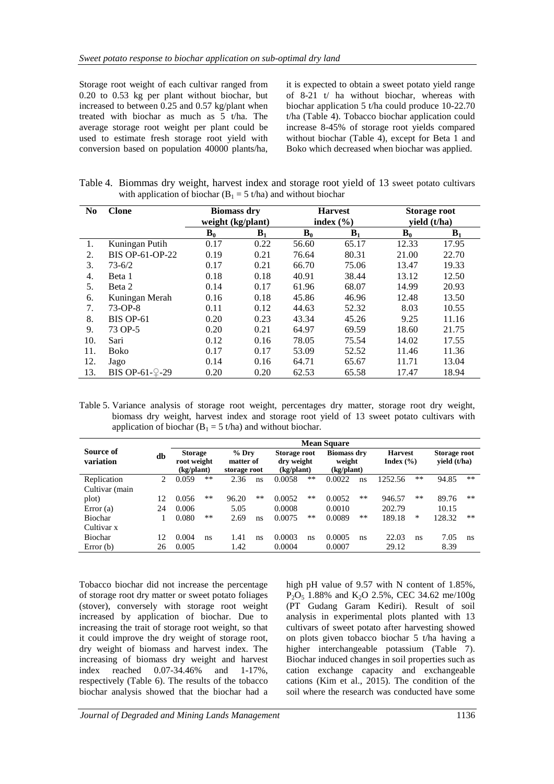Storage root weight of each cultivar ranged from 0.20 to 0.53 kg per plant without biochar, but increased to between 0.25 and 0.57 kg/plant when treated with biochar as much as 5 t/ha. The average storage root weight per plant could be used to estimate fresh storage root yield with conversion based on population 40000 plants/ha,

it is expected to obtain a sweet potato yield range of 8-21 t/ ha without biochar, whereas with biochar application 5 t/ha could produce 10-22.70 t/ha (Table 4). Tobacco biochar application could increase 8-45% of storage root yields compared without biochar (Table 4), except for Beta 1 and Boko which decreased when biochar was applied.

Table 4. Biommas dry weight, harvest index and storage root yield of 13 sweet potato cultivars with application of biochar ( $B_1 = 5$  t/ha) and without biochar

| N <sub>0</sub> | <b>Clone</b>     | <b>Biomass dry</b><br>weight (kg/plant) |       |       | <b>Harvest</b><br>index $(\% )$ | <b>Storage root</b><br>yield $(t/ha)$ |                |
|----------------|------------------|-----------------------------------------|-------|-------|---------------------------------|---------------------------------------|----------------|
|                |                  | $B_0$                                   | $B_1$ | $B_0$ | $\mathbf{B}_1$                  | $B_0$                                 | $\mathbf{B}_1$ |
| 1.             | Kuningan Putih   | 0.17                                    | 0.22  | 56.60 | 65.17                           | 12.33                                 | 17.95          |
| 2.             | BIS OP-61-OP-22  | 0.19                                    | 0.21  | 76.64 | 80.31                           | 21.00                                 | 22.70          |
| 3.             | $73 - 6/2$       | 0.17                                    | 0.21  | 66.70 | 75.06                           | 13.47                                 | 19.33          |
| 4.             | Beta 1           | 0.18                                    | 0.18  | 40.91 | 38.44                           | 13.12                                 | 12.50          |
| 5.             | Beta 2           | 0.14                                    | 0.17  | 61.96 | 68.07                           | 14.99                                 | 20.93          |
| 6.             | Kuningan Merah   | 0.16                                    | 0.18  | 45.86 | 46.96                           | 12.48                                 | 13.50          |
| 7.             | $73-OP-8$        | 0.11                                    | 0.12  | 44.63 | 52.32                           | 8.03                                  | 10.55          |
| 8.             | <b>BIS OP-61</b> | 0.20                                    | 0.23  | 43.34 | 45.26                           | 9.25                                  | 11.16          |
| 9.             | 73 OP-5          | 0.20                                    | 0.21  | 64.97 | 69.59                           | 18.60                                 | 21.75          |
| 10.            | Sari             | 0.12                                    | 0.16  | 78.05 | 75.54                           | 14.02                                 | 17.55          |
| 11.            | <b>Boko</b>      | 0.17                                    | 0.17  | 53.09 | 52.52                           | 11.46                                 | 11.36          |
| 12.            | Jago             | 0.14                                    | 0.16  | 64.71 | 65.67                           | 11.71                                 | 13.04          |
| 13.            | BIS OP-61-9-29   | 0.20                                    | 0.20  | 62.53 | 65.58                           | 17.47                                 | 18.94          |

Table 5. Variance analysis of storage root weight, percentages dry matter, storage root dry weight, biomass dry weight, harvest index and storage root yield of 13 sweet potato cultivars with application of biochar ( $B_1 = 5$  t/ha) and without biochar.

|                        |    | <b>Mean Square</b>            |       |                      |       |                            |       |                              |      |                                 |      |                              |       |
|------------------------|----|-------------------------------|-------|----------------------|-------|----------------------------|-------|------------------------------|------|---------------------------------|------|------------------------------|-------|
| Source of<br>variation | db | <b>Storage</b><br>root weight |       | $%$ Dry<br>matter of |       | Storage root<br>dry weight |       | <b>Biomass dry</b><br>weight |      | <b>Harvest</b><br>Index $(\% )$ |      | Storage root<br>vield (t/ha) |       |
|                        |    | (kg/plant)                    |       | storage root         |       | (kg/plant)                 |       | (kg/plant)                   |      |                                 |      |                              |       |
| Replication            | 2  | 0.059                         | $***$ | 2.36                 | ns    | 0.0058                     | **    | 0.0022                       | ns   | 1252.56                         | $**$ | 94.85                        | $***$ |
| Cultivar (main         |    |                               |       |                      |       |                            |       |                              |      |                                 |      |                              |       |
| plot)                  | 12 | 0.056                         | $**$  | 96.20                | $***$ | 0.0052                     | $***$ | 0.0052                       | **   | 946.57                          | $**$ | 89.76                        | $***$ |
| Error $(a)$            | 24 | 0.006                         |       | 5.05                 |       | 0.0008                     |       | 0.0010                       |      | 202.79                          |      | 10.15                        |       |
| <b>Biochar</b>         |    | 0.080                         | $**$  | 2.69                 | ns    | 0.0075                     | **    | 0.0089                       | $**$ | 189.18                          | *    | 128.32                       | $***$ |
| Cultivar x             |    |                               |       |                      |       |                            |       |                              |      |                                 |      |                              |       |
| <b>Biochar</b>         | 12 | 0.004                         | ns    | 1.41                 | ns    | 0.0003                     | ns    | 0.0005                       | ns   | 22.03                           | ns   | 7.05                         | ns    |
| Error $(b)$            | 26 | 0.005                         |       | 1.42                 |       | 0.0004                     |       | 0.0007                       |      | 29.12                           |      | 8.39                         |       |

Tobacco biochar did not increase the percentage of storage root dry matter or sweet potato foliages (stover), conversely with storage root weight increased by application of biochar. Due to increasing the trait of storage root weight, so that it could improve the dry weight of storage root, dry weight of biomass and harvest index. The increasing of biomass dry weight and harvest index reached 0.07-34.46% and 1-17%, respectively (Table 6). The results of the tobacco biochar analysis showed that the biochar had a

high pH value of 9.57 with N content of 1.85%,  $P_2O_5$  1.88% and  $K_2O$  2.5%, CEC 34.62 me/100g (PT Gudang Garam Kediri). Result of soil analysis in experimental plots planted with 13 cultivars of sweet potato after harvesting showed on plots given tobacco biochar 5 t/ha having a higher interchangeable potassium (Table 7). Biochar induced changes in soil properties such as cation exchange capacity and exchangeable cations (Kim et al., 2015). The condition of the soil where the research was conducted have some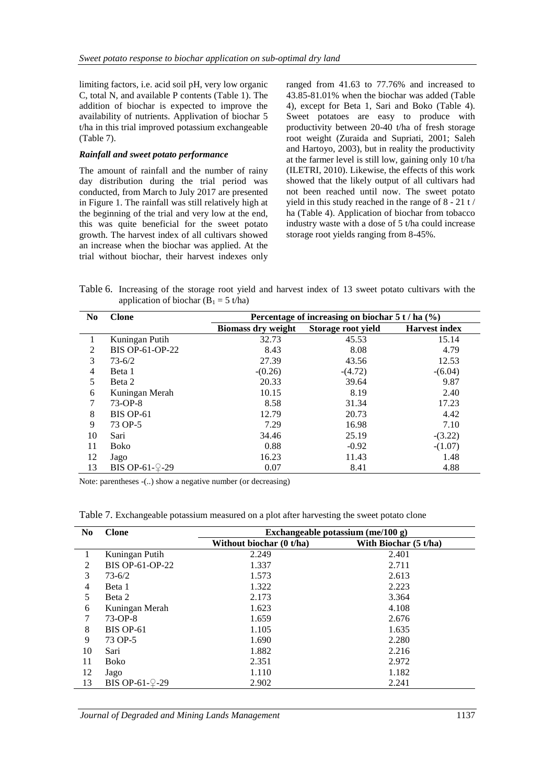limiting factors, i.e. acid soil pH, very low organic C, total N, and available P contents (Table 1). The addition of biochar is expected to improve the availability of nutrients. Applivation of biochar 5 t/ha in this trial improved potassium exchangeable (Table 7).

#### *Rainfall and sweet potato performance*

The amount of rainfall and the number of rainy day distribution during the trial period was conducted, from March to July 2017 are presented in Figure 1. The rainfall was still relatively high at the beginning of the trial and very low at the end, this was quite beneficial for the sweet potato growth. The harvest index of all cultivars showed an increase when the biochar was applied. At the trial without biochar, their harvest indexes only

ranged from 41.63 to 77.76% and increased to 43.85-81.01% when the biochar was added (Table 4), except for Beta 1, Sari and Boko (Table 4). Sweet potatoes are easy to produce with productivity between 20-40 t/ha of fresh storage root weight (Zuraida and Supriati, 2001; Saleh and Hartoyo, 2003), but in reality the productivity at the farmer level is still low, gaining only 10 t/ha (ILETRI, 2010). Likewise, the effects of this work showed that the likely output of all cultivars had not been reached until now. The sweet potato yield in this study reached in the range of 8 - 21 t / ha (Table 4). Application of biochar from tobacco industry waste with a dose of 5 t/ha could increase storage root yields ranging from 8-45%.

Table 6. Increasing of the storage root yield and harvest index of 13 sweet potato cultivars with the application of biochar ( $B_1 = 5$  t/ha)

| N <sub>0</sub> | <b>Clone</b>     | Percentage of increasing on biochar $5 t / ha$ (%) |                    |                      |  |  |
|----------------|------------------|----------------------------------------------------|--------------------|----------------------|--|--|
|                |                  | <b>Biomass dry weight</b>                          | Storage root yield | <b>Harvest index</b> |  |  |
|                | Kuningan Putih   | 32.73                                              | 45.53              | 15.14                |  |  |
| 2              | BIS OP-61-OP-22  | 8.43                                               | 8.08               | 4.79                 |  |  |
| 3              | $73 - 6/2$       | 27.39                                              | 43.56              | 12.53                |  |  |
| $\overline{4}$ | Beta 1           | $-(0.26)$                                          | $-(4.72)$          | $-(6.04)$            |  |  |
| 5              | Beta 2           | 20.33                                              | 39.64              | 9.87                 |  |  |
| 6              | Kuningan Merah   | 10.15                                              | 8.19               | 2.40                 |  |  |
| 7              | $73-OP-8$        | 8.58                                               | 31.34              | 17.23                |  |  |
| 8              | <b>BIS OP-61</b> | 12.79                                              | 20.73              | 4.42                 |  |  |
| 9              | 73 OP-5          | 7.29                                               | 16.98              | 7.10                 |  |  |
| 10             | Sari             | 34.46                                              | 25.19              | $-(3.22)$            |  |  |
| 11             | Boko             | 0.88                                               | $-0.92$            | $-(1.07)$            |  |  |
| 12             | Jago             | 16.23                                              | 11.43              | 1.48                 |  |  |
| 13             | BIS OP-61-9-29   | 0.07                                               | 8.41               | 4.88                 |  |  |

Note: parentheses  $-(\cdot)$  show a negative number (or decreasing)

Table 7. Exchangeable potassium measured on a plot after harvesting the sweet potato clone

| N <sub>0</sub> | <b>Clone</b>      | Exchangeable potassium (me/100 g) |                       |  |  |  |
|----------------|-------------------|-----------------------------------|-----------------------|--|--|--|
|                |                   | Without biochar (0 t/ha)          | With Biochar (5 t/ha) |  |  |  |
| 1              | Kuningan Putih    | 2.249                             | 2.401                 |  |  |  |
| 2              | BIS OP-61-OP-22   | 1.337                             | 2.711                 |  |  |  |
| 3              | $73 - 6/2$        | 1.573                             | 2.613                 |  |  |  |
| $\overline{4}$ | Beta 1            | 1.322                             | 2.223                 |  |  |  |
| 5              | Beta 2            | 2.173                             | 3.364                 |  |  |  |
| 6              | Kuningan Merah    | 1.623                             | 4.108                 |  |  |  |
| 7              | $73-OP-8$         | 1.659                             | 2.676                 |  |  |  |
| 8              | <b>BIS OP-61</b>  | 1.105                             | 1.635                 |  |  |  |
| 9              | 73 OP-5           | 1.690                             | 2.280                 |  |  |  |
| 10             | Sari              | 1.882                             | 2.216                 |  |  |  |
| 11             | Boko              | 2.351                             | 2.972                 |  |  |  |
| 12             | Jago              | 1.110                             | 1.182                 |  |  |  |
| 13             | BIS OP-61- $2-29$ | 2.902                             | 2.241                 |  |  |  |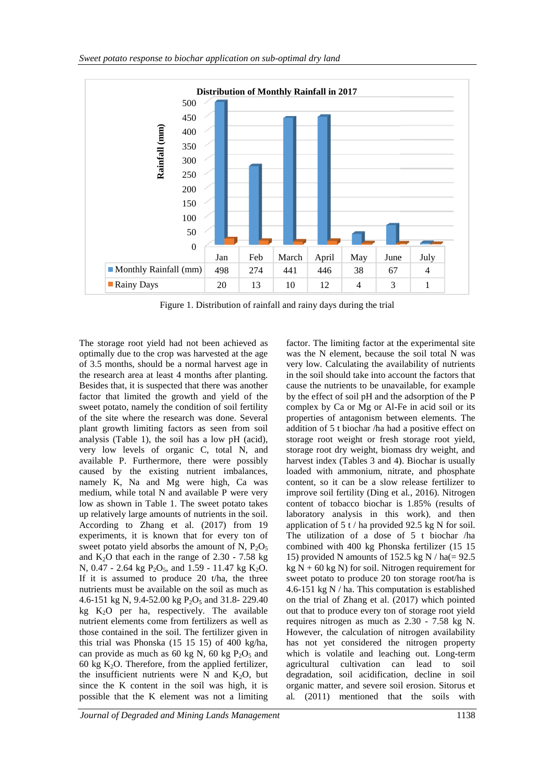

Figure 1. Distribution of rainfall and rainy days during the trial

The storage root yield had not been achieved as optimally due to the crop was harvested at the age of 3.5 months, should be a normal harvest age in the research area at least 4 months after planting. Besides that, it is suspected that there was another factor that limited the growth and yield of the sweet potato, namely the condition of soil fertility of the site where the research was done. Several plant growth limiting factors as seen from soil analysis (Table 1), the soil has a low pH (acid), very low levels of organic C, total N, and available P. Furthermore, there were possibly caused by the existing nutrient imbalances, namely K, Na and Mg were high, Ca was medium, while total N and available P were very low as shown in Table 1. The sweet potato takes up relatively large amounts of nutrients in the soil. According to Zhang et al*.* (2017) from 19 experiments, it is known that for every ton of sweet potato yield absorbs the amount of N,  $P_2O_5$ and  $K_2O$  that each in the range of 2.30 - 7.58 kg N, 0.47 - 2.64 kg  $P_2O_5$ , and 1.59 - 11.47 kg  $K_2O$ . If it is assumed to produce 20 t/ha, the three nutrients must be available on the soil as much as 4.6-151 kg N, 9.4-52.00 kg  $P_2O_5$  and 31.8-229.40 kg  $K<sub>2</sub>O$  per ha, respectively. The available nutrient elements come from fertilizers as well as those contained in the soil. The fer fertilizer given in this trial was Phonska (15 15 15) of 400 kg/ha, can provide as much as 60 kg N, 60 kg  $P_2O_5$  and 60 kg  $K<sub>2</sub>O$ . Therefore, from the applied fertilizer, the insufficient nutrients were N and  $K_2O$ , but since the K content in the soil was high, it is possible that the K element was not a limiting

very low. Calculating the availability of nutrients in the soil should take into account the factors that cause the nutrients to be unavailable, for example by the effect of soil pH and the adsorption of the P<br>complex by Ca or Mg or Al-Fe in acid soil or its<br>properties of antagonism between elements. The complex by Ca or Mg or Al-Fe in acid soil or its properties of antagonism between elements. addition of 5 t biochar /ha had a positive effect on storage root weight or fresh storage root yield, storage root dry weight, biomass dry weight, and harvest index (Tables 3 and 4). Biochar is usually loaded with ammonium, nitrate, and phosphate content, so it can be a slow release fertilizer to improve soil fertility (Ding et al., 2016). Nitrogen content of tobacco biochar is 1.85% (results of laboratory analysis in this work), and then application of 5 t / ha provided d 92.5 kg N for soil. The utilization of a dose of  $5$  t biochar /ha combined with 400 kg Phonska fertilizer (15 15 15) provided N amounts of 152.5 kg N  $/$  ha(= 92.5)  $kg N + 60 kg N$ ) for soil. Nitrogen requirement for 15) provided N amounts of 152.5 kg N / ha(= 92.5 kg N + 60 kg N) for soil. Nitrogen requirement for sweet potato to produce 20 ton storage root/ha is 4.6-151 kg N / ha. This computation is established on the trial of Zhang et al. (2017) which pointed out that to produce every ton of storage root yield requires nitrogen as much as  $2.30 - 7.58$  kg N. However, the calculation of nitrogen availability However, the calculation of nitrogen availability<br>has not yet considered the nitrogen property which is volatile and leaching out. Long-term agricultural cultivation can lead to soil degradation, soil acidification, decline in soil , organic matter, and severe soil erosion. Sitorus et al*.* (2011) mentioned that the soils with storage root weight or fresh storage root yield,<br>storage root dry weight, biomass dry weight, and<br>harvest index (Tables 3 and 4). Biochar is usually<br>loaded with ammonium, nitrate, and phosphate<br>content, so it can be a slow that the withJune July

factor. The limiting factor at the experimental site was the N element, because the soil total N was